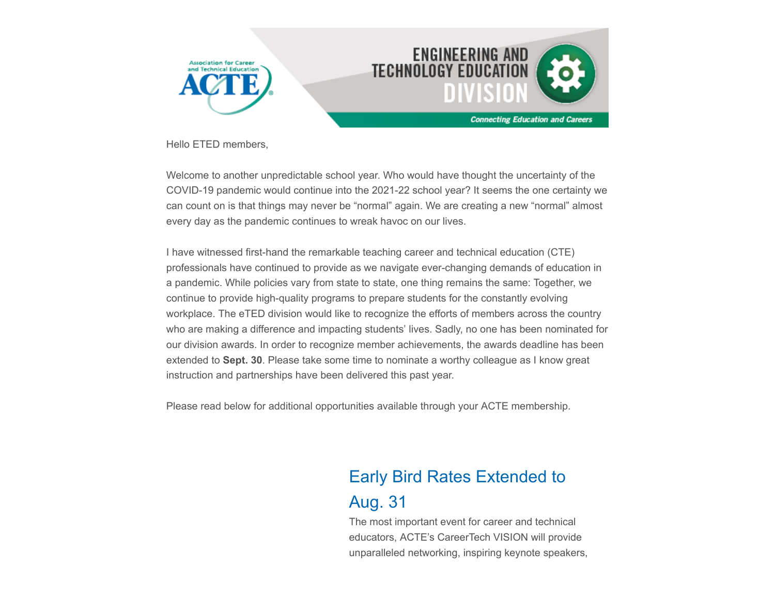

Hello ETED members,

Welcome to another unpredictable school year. Who would have thought the uncertainty of the COVID-19 pandemic would continue into the 2021-22 school year? It seems the one certainty we can count on is that things may never be "normal" again. We are creating a new "normal" almost every day as the pandemic continues to wreak havoc on our lives.

I have witnessed first-hand the remarkable teaching career and technical education (CTE) professionals have continued to provide as we navigate ever-changing demands of education in a pandemic. While policies vary from state to state, one thing remains the same: Together, we continue to provide high-quality programs to prepare students for the constantly evolving workplace. The eTED division would like to recognize the efforts of members across the country who are making a difference and impacting students' lives. Sadly, no one has been nominated for our division awards. In order to recognize member achievements, the awards deadline has been extended to **Sept. 30**. Please take some time to nominate a worthy colleague as I know great instruction and partnerships have been delivered this past year.

Please read below for additional opportunities available through your ACTE membership.

# Early Bird Rates Extended to

## Aug. 31

The most important event for career and technical educators, ACTE's CareerTech VISION will provide unparalleled networking, inspiring keynote speakers,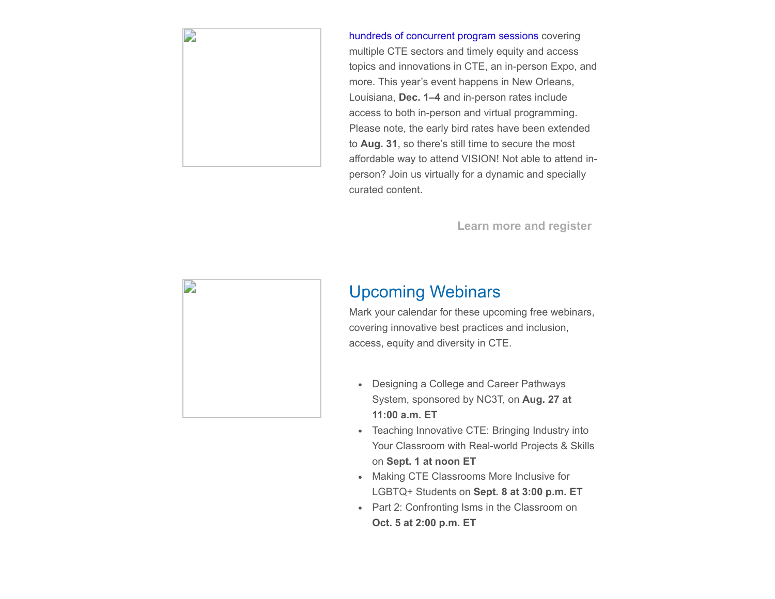

[hundreds of concurrent program sessions](https://www.careertechvision.com/program_schedule.cfm) covering multiple CTE sectors and timely equity and access topics and innovations in CTE, an in-person Expo, and more. This year's event happens in New Orleans, Louisiana, **Dec. 1–4** and in-person rates include access to both in-person and virtual programming. Please note, the early bird rates have been extended to **Aug. 31**, so there's still time to secure the most affordable way to attend VISION! Not able to attend inperson? Join us virtually for a dynamic and specially curated content.

**[Learn more and register](https://www.careertechvision.com/index.cfm)**



### Upcoming Webinars

Mark your calendar for these upcoming free webinars, covering innovative best practices and inclusion, access, equity and diversity in CTE.

- Designing a College and Career Pathways System, sponsored by NC3T, on **Aug. 27 at 11:00 a.m. ET**
- Teaching Innovative CTE: Bringing Industry into Your Classroom with Real-world Projects & Skills on **Sept. 1 at noon ET**
- Making CTE Classrooms More Inclusive for LGBTQ+ Students on **Sept. 8 at 3:00 p.m. ET**
- Part 2: Confronting Isms in the Classroom on **Oct. 5 at 2:00 p.m. ET**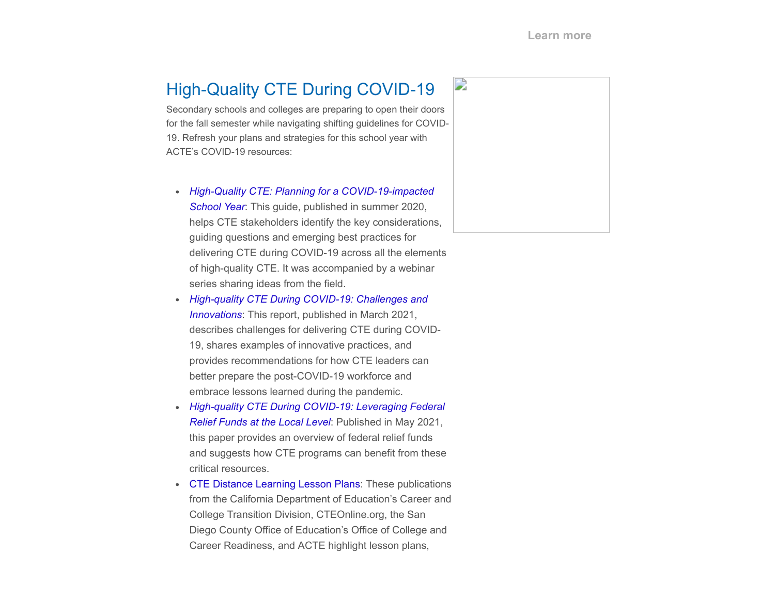# High-Quality CTE During COVID-19

Secondary schools and colleges are preparing to open their doors for the fall semester while navigating shifting guidelines for COVID-19. Refresh your plans and strategies for this school year with ACTE's COVID-19 resources:

- *[High-Quality CTE: Planning for a COVID-19-impacted](https://www.acteonline.org/wp-content/uploads/2020/06/Planning_for_COVID-19-impacted_Year_FINAL.pdf) School Year*: This guide, published in summer 2020, helps CTE stakeholders identify the key considerations, guiding questions and emerging best practices for delivering CTE during COVID-19 across all the elements of high-quality CTE. It was accompanied by a webinar series sharing ideas from the field.
- *[High-quality CTE During COVID-19: Challenges and](https://nam10.safelinks.protection.outlook.com/?url=http%3A%2F%2Facte-news.informz.net%2Fz%2FcjUucD9taT04NDU3ODk4JnA9MSZ1PTg3MjcyMDk0NyZsaT03MjcyNDAwMw%2Findex.html&data=04%7C01%7Cjobrien%40acteonline.org%7Cf9d80817ede0460dd25608d95cec9c1d%7Caa073e65c80e4bc7964cb85c6efc1992%7C0%7C0%7C637642994790464604%7CUnknown%7CTWFpbGZsb3d8eyJWIjoiMC4wLjAwMDAiLCJQIjoiV2luMzIiLCJBTiI6Ik1haWwiLCJXVCI6Mn0%3D%7C1000&sdata=OnzD2lg5MlSic%2BuRds3fU6nipYk2ohVzT4qbUjDpghg%3D&reserved=0) Innovations*: This report, published in March 2021, describes challenges for delivering CTE during COVID-19, shares examples of innovative practices, and provides recommendations for how CTE leaders can better prepare the post-COVID-19 workforce and embrace lessons learned during the pandemic.
- *[High-quality CTE During COVID-19: Leveraging Federal](https://nam10.safelinks.protection.outlook.com/?url=http%3A%2F%2Facte-news.informz.net%2Fz%2FcjUucD9taT04NDU3ODk4JnA9MSZ1PTg3MjcyMDk0NyZsaT03MjcyNDAwNA%2Findex.html&data=04%7C01%7Cjobrien%40acteonline.org%7Cf9d80817ede0460dd25608d95cec9c1d%7Caa073e65c80e4bc7964cb85c6efc1992%7C0%7C0%7C637642994790464604%7CUnknown%7CTWFpbGZsb3d8eyJWIjoiMC4wLjAwMDAiLCJQIjoiV2luMzIiLCJBTiI6Ik1haWwiLCJXVCI6Mn0%3D%7C1000&sdata=g5ptSVwGCQ6v3z3CGX6Cn4kwVYhlIAC9vWCCM1DDSZ4%3D&reserved=0) Relief Funds at the Local Level*: Published in May 2021, this paper provides an overview of federal relief funds and suggests how CTE programs can benefit from these critical resources.
- [CTE Distance Learning Lesson Plans](https://nam10.safelinks.protection.outlook.com/?url=http%3A%2F%2Facte-news.informz.net%2Fz%2FcjUucD9taT04NDU3ODk4JnA9MSZ1PTg3MjcyMDk0NyZsaT03MjcyNDAwNQ%2Findex.html&data=04%7C01%7Cjobrien%40acteonline.org%7Cf9d80817ede0460dd25608d95cec9c1d%7Caa073e65c80e4bc7964cb85c6efc1992%7C0%7C0%7C637642994790474599%7CUnknown%7CTWFpbGZsb3d8eyJWIjoiMC4wLjAwMDAiLCJQIjoiV2luMzIiLCJBTiI6Ik1haWwiLCJXVCI6Mn0%3D%7C1000&sdata=nURIbvPVN%2FmCYNsY1ZV27RXPBZCNi29N56Twt3tO9TM%3D&reserved=0): These publications from the California Department of Education's Career and College Transition Division, CTEOnline.org, the San Diego County Office of Education's Office of College and Career Readiness, and ACTE highlight lesson plans,

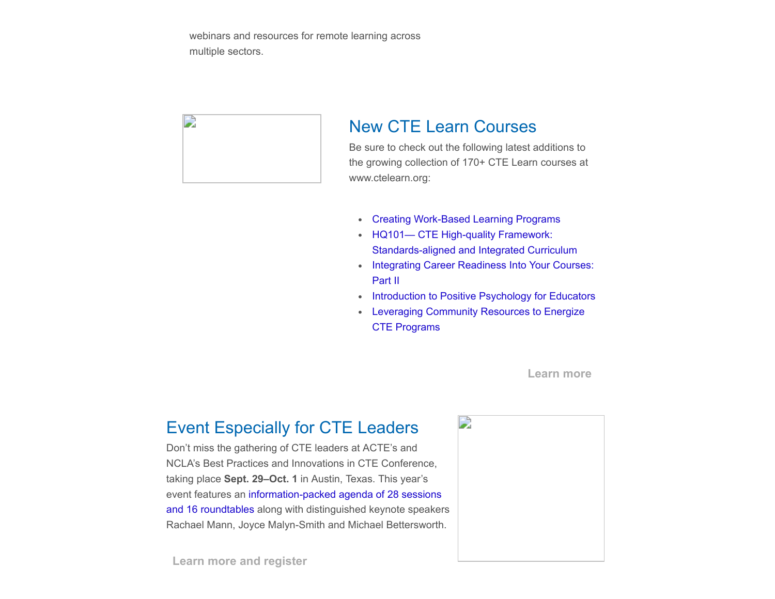webinars and resources for remote learning across multiple sectors.



#### New CTE Learn Courses

Be sure to check out the following latest additions to the growing collection of 170+ CTE Learn courses at www.ctelearn.org:

- [Creating Work-Based Learning Programs](https://www.ctelearn.org/certified-courses/course/CS130/creating-work-based-learning-programs---first-steps)
- HQ101— CTE High-quality Framework: [Standards-aligned and Integrated Curriculum](https://www.ctelearn.org/certified-courses/course/HQ101/cte-high-quality-framework:-standards-aligned-and-integrated-curriculum-)
- [Integrating Career Readiness Into Your Courses:](https://www.ctelearn.org/certified-courses/course/EC116/integrating-career-readiness-into-your-courses:-part-ii) Part II
- **[Introduction to Positive Psychology for Educators](https://www.ctelearn.org/certified-courses/course/EC140/introduction-to-positive-psychology-for-educators-)**  $\bullet$
- [Leveraging Community Resources to Energize](https://www.ctelearn.org/certified-courses/course/LC102/leveraging-community-resources-to-energize-cte-)  $\bullet$ CTE Programs

#### **[Learn more](https://www.ctelearn.org/)**

#### Event Especially for CTE Leaders

Don't miss the gathering of CTE leaders at ACTE's and NCLA's Best Practices and Innovations in CTE Conference, taking place **Sept. 29–Oct. 1** in Austin, Texas. This year's [event features an information-packed agenda of 28 sessions](https://www.acteonline.org/bestpractices/#toggle-id-1) and 16 roundtables along with distinguished keynote speakers Rachael Mann, Joyce Malyn-Smith and Michael Bettersworth.



**[Learn more and register](https://www.acteonline.org/bestpractices/)**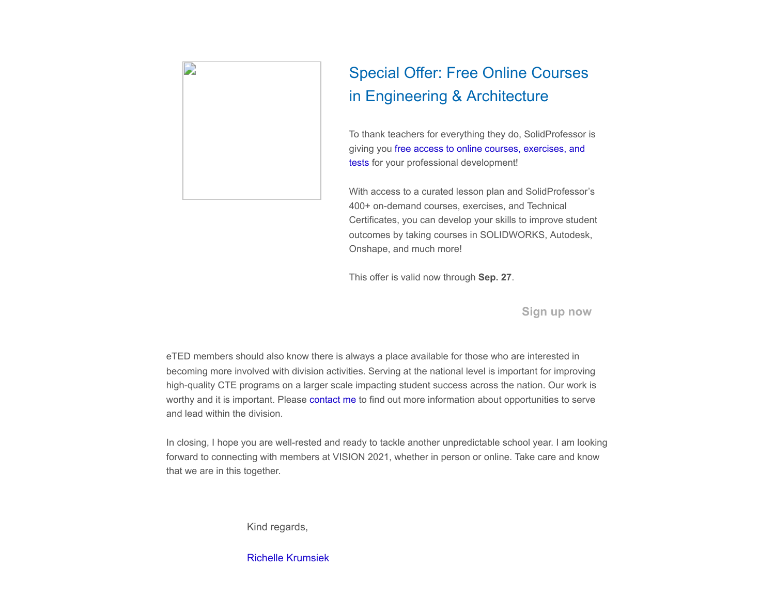

# Special Offer: Free Online Courses in Engineering & Architecture

To thank teachers for everything they do, SolidProfessor is [giving you free access to online courses, exercises, and](https://www.solidprofessor.com/teachers-get-a-solidprofessor-professional-development-account-for-free) tests for your professional development!

With access to a curated lesson plan and SolidProfessor's 400+ on-demand courses, exercises, and Technical Certificates, you can develop your skills to improve student outcomes by taking courses in SOLIDWORKS, Autodesk, Onshape, and much more!

This offer is valid now through **Sep. 27**.

**[Sign up now](https://www.solidprofessor.com/teachers-get-a-solidprofessor-professional-development-account-for-free)**

eTED members should also know there is always a place available for those who are interested in becoming more involved with division activities. Serving at the national level is important for improving high-quality CTE programs on a larger scale impacting student success across the nation. Our work is worthy and it is important. Please [contact me](mailto:richelle.krumsiek@tulsatech.edu) to find out more information about opportunities to serve and lead within the division.

In closing, I hope you are well-rested and ready to tackle another unpredictable school year. I am looking forward to connecting with members at VISION 2021, whether in person or online. Take care and know that we are in this together.

Kind regards,

[Richelle Krumsiek](mailto:richelle.krumsiek@tulsatech.edu)